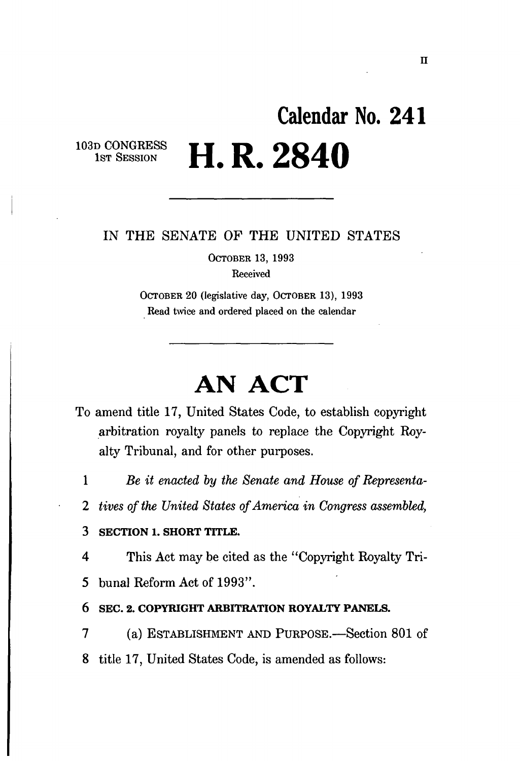# **Calendar No. 24 1 H. R. 2840**

103D CONGRESS 1ST SESSION

### IN THE SENATE OF THE UNITED STATES

OCTOBER 13, 1993 Received

OCTOBER 20 (legislative day, OCTOBER 13), 1993 Read twice and ordered placed on the calendar

## **AN ACT**

- To amend title 17, United States Code, to establish copyright arbitration royalty panels to replace the Copyright Royalty Tribunal, and for other purposes.
	- 1 *Be it enacted by the Senate and House of Representa-*
	- *2 tives of the United States of America in Congress assembled,*

#### 3 **SECTION** 1. **SHORT TITLE.**

4 This Act may be cited as the "Copyright Royalty Tri-

- 5 bunal Reform Act of 1993".
- **6 SEC. 2. COPYRIGHT ARBITRATION ROYALTY PANELS.**
- 7 (a) ESTABLISHMENT AND PURPOSE.—Section 801 of
- 8 title 17, United States Code, is amended as follows: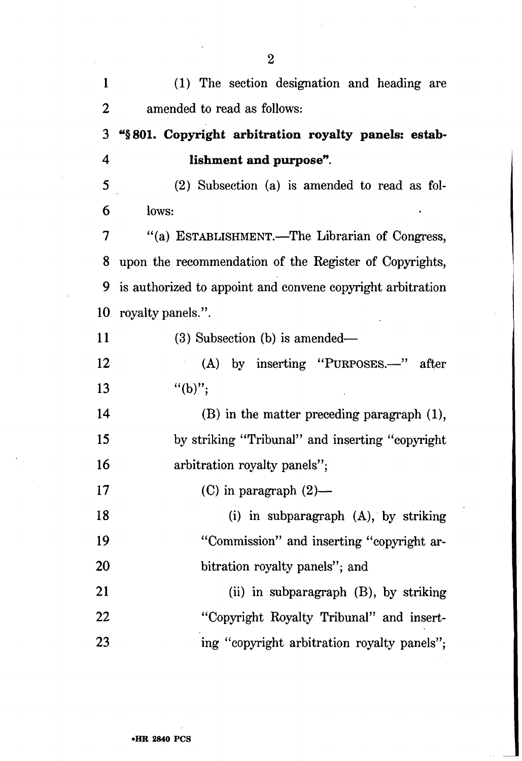| $\mathbf{1}$ | (1) The section designation and heading are                |
|--------------|------------------------------------------------------------|
| 2            | amended to read as follows:                                |
| 3            | "§801. Copyright arbitration royalty panels: estab-        |
| 4            | lishment and purpose".                                     |
| 5            | (2) Subsection (a) is amended to read as fol-              |
| 6            | lows:                                                      |
| 7            | "(a) ESTABLISHMENT.-The Librarian of Congress,             |
| 8            | upon the recommendation of the Register of Copyrights,     |
| 9            | is authorized to appoint and convene copyright arbitration |
| 10           | royalty panels.".                                          |
| 11           | $(3)$ Subsection $(b)$ is amended—                         |
| 12           | $(A)$ by inserting "PURPOSES.—"<br>after                   |
| 13           | $"({b})"$ ;                                                |
| 14           | $(B)$ in the matter preceding paragraph $(1)$ ,            |
| 15           | by striking "Tribunal" and inserting "copyright"           |
| 16           | arbitration royalty panels";                               |
| 17           | (C) in paragraph $(2)$ —                                   |
| 18           | (i) in subparagraph (A), by striking                       |
| 19           | "Commission" and inserting "copyright ar-                  |
| 20           | bitration royalty panels"; and                             |
| 21           | (ii) in subparagraph $(B)$ , by striking                   |
| 22           | "Copyright Royalty Tribunal" and insert-                   |
| 23           | ing "copyright arbitration royalty panels";                |

2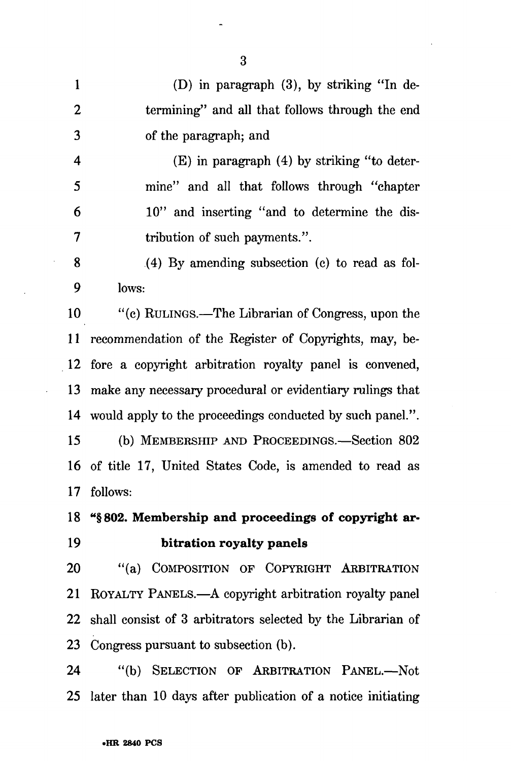1 (D) in paragraph (3), by striking "In de-2 termining" and all that follows through the end 3 of the paragraph; and

4 (E) in paragraph (4) by striking "to deter-5 mine" and all that follows through "chapter 6 10" and inserting "and to determine the dis-7 tribution of such payments.".

8 (4) By amending subsection (c) to read as fol-9 lows:

10 "(c) RULINGS.—The Librarian of Congress, upon the 11 recommendation of the Register of Copyrights, may, be-12 fore a copyright arbitration royalty panel is convened, 13 make any necessary procedural or evidentiary rulings that 14 would apply to the proceedings conducted by such panel.".

15 (b) MEMBERSHIP AND PROCEEDINGS.—Section 802 16 of title 17, United States Code, is amended to read as 17 follows:

## **18 "§802. Membership and proceedings of copyright ar-19 bitration royalty panels**

20 "(a) COMPOSITION OF COPYRIGHT ARBITRATION 21 ROYALTY PANELS.—A copyright arbitration royalty panel 22 shall consist of 3 arbitrators selected by the Librarian of 23 Congress pursuant to subsection (b).

24 "(b) SELECTION OF ARBITRATION PANEL.—Not 25 later than 10 days after publication of a notice initiating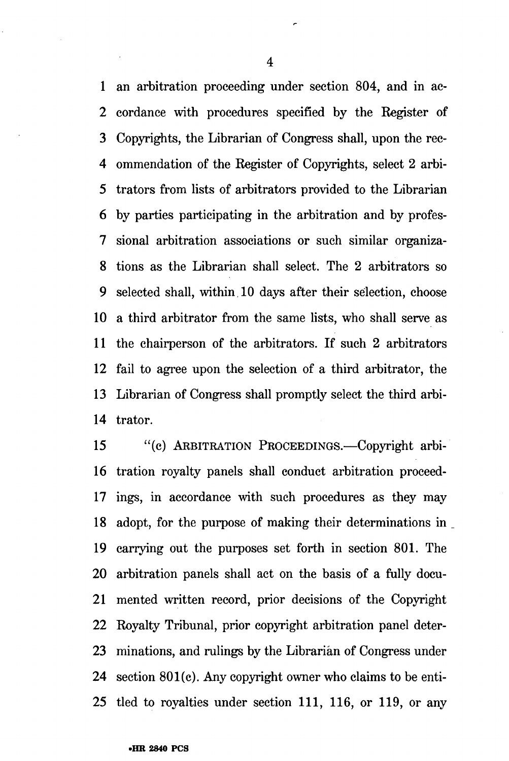1 an arbitration proceeding under section 804, and in ac-2 cordance with procedures specified by the Register of 3 Copyrights, the Librarian of Congress shall, upon the rec-4 ommendation of the Register of Copyrights, select 2 arbi-5 trators from lists of arbitrators provided to the Librarian 6 by parties participating in the arbitration and by profes-7 sional arbitration associations or such similar organiza-8 tions as the Librarian shall select. The 2 arbitrators so 9 selected shall, within. 10 days after their selection, choose 10 a third arbitrator from the same lists, who shall serve as 11 the chairperson of the arbitrators. If such 2 arbitrators 12 fail to agree upon the selection of a third arbitrator, the 13 Librarian of Congress shall promptly select the third arbi-14 trator.

15 "(c) ARBITRATION PROCEEDINGS.—Copyright arbi-16 tration royalty panels shall conduct arbitration proceed-17 ings, in accordance with such procedures as they may 18 adopt, for the purpose of making their determinations in 19 carrying out the purposes set forth in section 801. The 20 arbitration panels shall act on the basis of a fully docu-21 mented written record, prior decisions of the Copyright 22 Royalty Tribunal, prior copyright arbitration panel deter-23 minations, and rulings by the Librarian of Congress under 24 section 801(c). Any copyright owner who claims to be enti-25 tied to royalties under section 111, 116, or 119, or any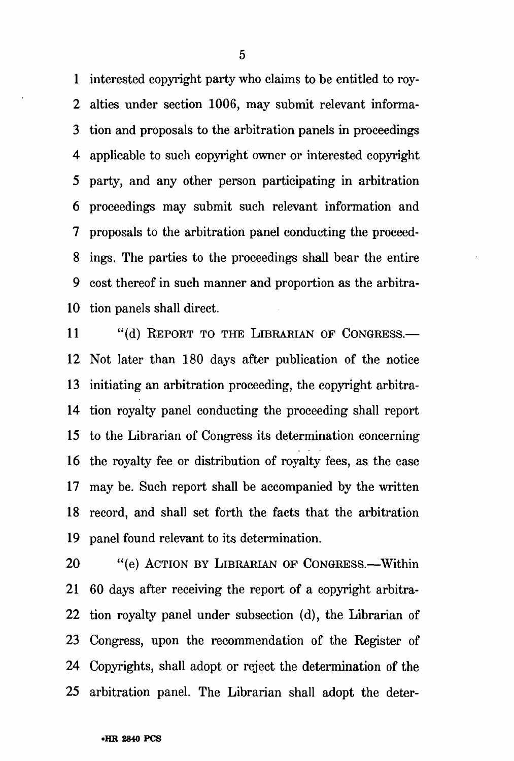1 interested copyright party who claims to be entitled to roy-2 alties under section 1006, may submit relevant informa-3 tion and proposals to the arbitration panels in proceedings 4 applicable to such copyright owner or interested copyright 5 party, and any other person participating in arbitration 6 proceedings may submit such relevant information and 7 proposals to the arbitration panel conducting the proceed-8 ings. The parties to the proceedings shall bear the entire 9 cost thereof in such manner and proportion as the arbitra-10 tion panels shall direct.

11 "(d) REPORT TO THE LIBRARIAN OF CONGRESS.-12 Not later than 180 days after publication of the notice 13 initiating an arbitration proceeding, the copyright arbitra-14 tion royalty panel conducting the proceeding shall report 15 to the Librarian of Congress its determination concerning 16 the royalty fee or distribution of royalty fees, as the case 17 may be. Such report shall be accompanied by the written 18 record, and shall set forth the facts that the arbitration 19 panel found relevant to its determination.

20 "(e) ACTION BY LIBRARIAN OF CONGRESS.—Within 21 60 days after receiving the report of a copyright arbitra-22 tion royalty panel under subsection (d), the Librarian of 23 Congress, upon the recommendation of the Register of 24 Copyrights, shall adopt or reject the determination of the 25 arbitration panel. The Librarian shall adopt the deter-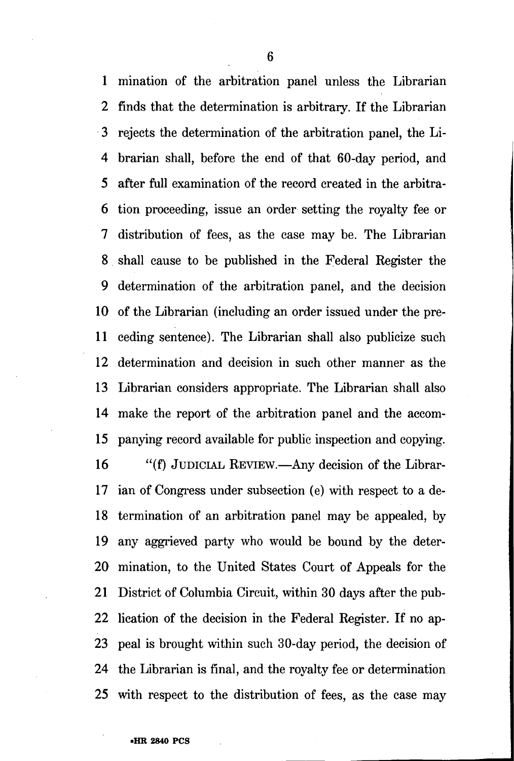1 mination of the arbitration panel unless the Librarian 2 finds that the determination is arbitrary. If the Librarian 3 rejects the determination of the arbitration panel, the Li-4 brarian shall, before the end of that 60-day period, and 5 after full examination of the record created in the arbitra-6 tion proceeding, issue an order setting the royalty fee or 7 distribution of fees, as the case may be. The Librarian 8 shall cause to be published in the Federal Register the 9 determination of the arbitration panel, and the decision 10 of the Librarian (including an order issued under the pre-11 ceding sentence). The Librarian shall also publicize such 12 determination and decision in such other manner as the 13 Librarian considers appropriate. The Librarian shall also 14 make the report of the arbitration panel and the accom-15 panying record available for public inspection and copying.

16 "(f) JUDICIAL REVIEW.—Any decision of the Librar-17 ian of Congress under subsection (e) with respect to a de-18 termination of an arbitration panel may be appealed, by 19 any aggrieved party who would be bound by the deter-20 mination, to the United States Court of Appeals for the 21 District of Columbia Circuit, within 30 days after the pub-22 lication of the decision in the Federal Register. If no ap-23 peal is brought within such 30-day period, the decision of 24 the Librarian is final, and the royalty fee or determination 25 with respect to the distribution of fees, as the case may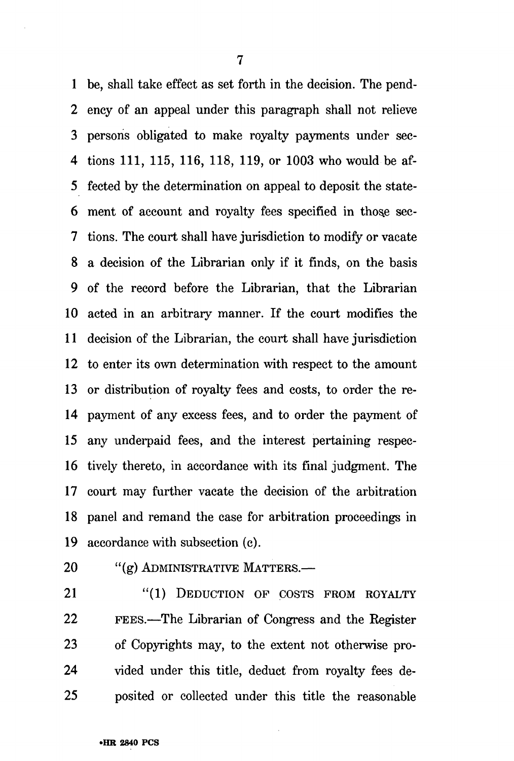1 be, shall take effect as set forth in the decision. The pend-2 ency of an appeal under this paragraph shall not relieve 3 persons obligated to make royalty payments under sec-4 tions 111, 115, 116, 118, 119, or 1003 who would be af-5 fected by the determination on appeal to deposit the state-6 ment of account and royalty fees specified in those sec-7 tions. The court shall have jurisdiction to modify or vacate 8 a decision of the Librarian only if it finds, on the basis 9 of the record before the Librarian, that the Librarian 10 acted in an arbitrary manner. If the court modifies the 11 decision of the Librarian, the court shall have jurisdiction 12 to enter its own determination with respect to the amount 13 or distribution of royalty fees and costs, to order the re-14 payment of any excess fees, and to order the payment of 15 any underpaid fees, and the interest pertaining respec-16 tively thereto, in accordance with its final judgment. The 17 court may further vacate the decision of the arbitration 18 panel and remand the case for arbitration proceedings in 19 accordance with subsection (c).

20 "(g) ADMINISTRATIVE MATTERS.-

21 "(1) DEDUCTION OF COSTS FROM ROYALTY 22 FEES.—The Librarian of Congress and the Eegister 23 of Copyrights may, to the extent not otherwise pro-24 vided under this title, deduct from royalty fees de-25 posited or collected under this title the reasonable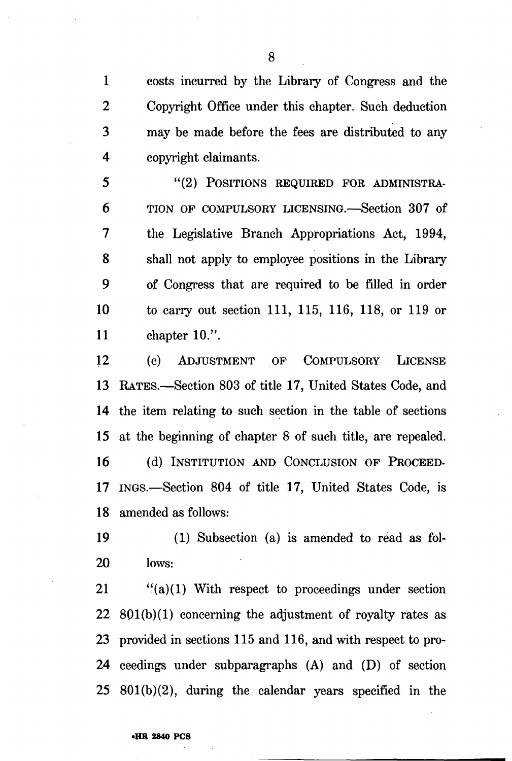1 costs incurred by the Library of Congress and the 2 Copyright Office under this chapter. Such deduction 3 may be made before the fees are distributed to any 4 copyright claimants.

5 "(2) POSITIONS REQUIRED FOR ADMINISTRA-6 TION OF COMPULSORY LICENSING.—Section 307 of 7 the Legislative Branch Appropriations Act, 1994, 8 shall not apply to employee positions in the Library 9 of Congress that are required to be filled in order 10 to carry out section 111, 115, 116, 118, or 119 or 11 chapter 10.".

12 (c) ADJUSTMENT OF COMPULSORY LICENSE 13 RATES.—Section 803 of title 17, United States Code, and 14 the item relating to such section in the table of sections 15 at the beginning of chapter 8 of such title, are repealed. 16 (d) INSTITUTION AND CONCLUSION OF PROCEED-

17 INGS.—Section 804 of title 17, United States Code, is 18 amended as follows:

19 (1) Subsection (a) is amended to read as fol-20 lows:

21 "(a)(1) With respect to proceedings under section 22 801(b)(1) concerning the adjustment of royalty rates as 23 provided in sections 115 and 116, and with respect to pro-24 ceedings under subparagraphs (A) and (D) of section 25 801(b)(2), during the calendar years specified in the

**•HR 2840 PCS**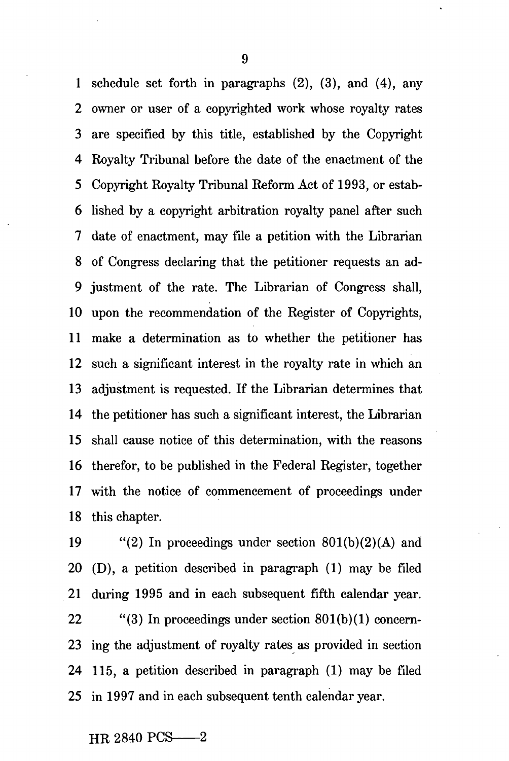1 schedule set forth in paragraphs (2), (3), and (4), any 2 owner or user of a copyrighted work whose royalty rates 3 are specified by this title, established by the Copyright 4 Royalty Tribunal before the date of the enactment of the 5 Copyright Royalty Tribunal Reform Act of 1993, or estab-6 lished by a copyright arbitration royalty panel after such 7 date of enactment, may file a petition with the Librarian 8 of Congress declaring that the petitioner requests an ad-9 justment of the rate. The Librarian of Congress shall, 10 upon the recommendation of the Register of Copyrights, 11 make a determination as to whether the petitioner has 12 such a significant interest in the royalty rate in which an 13 adjustment is requested. If the Librarian determines that 14 the petitioner has such a significant interest, the Librarian 15 shall cause notice of this determination, with the reasons 16 therefor, to be published in the Federal Register, together 17 with the notice of commencement of proceedings under 18 this chapter.

19 "(2) In proceedings under section  $801(b)(2)(A)$  and 20 (D), a petition described in paragraph (1) may be filed 21 during 1995 and in each subsequent fifth calendar year. 22 "(3) In proceedings under section  $801(b)(1)$  concern-23 ing the adjustment of royalty rates as provided in section 24 115, a petition described in paragraph (1) may be filed 25 in 1997 and in each subsequent tenth calendar year.

## HR 2840 PCS-2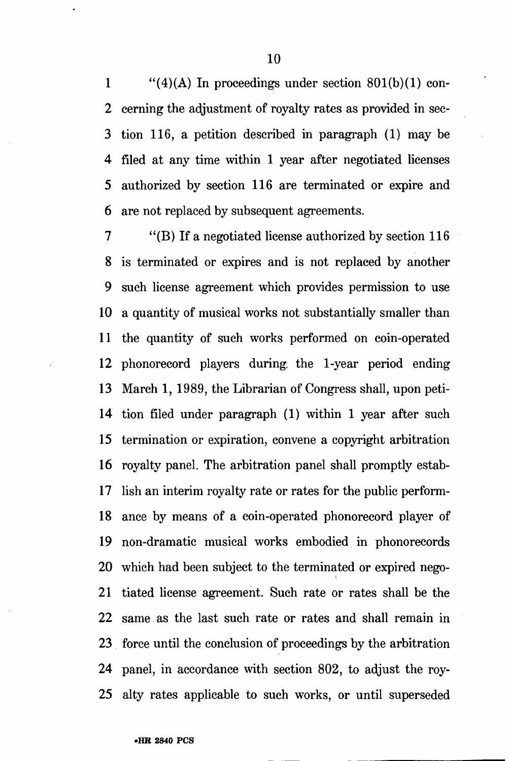1  $\frac{1}{2}$  (4)(A) In proceedings under section 801(b)(1) con-2 cerning the adjustment of royalty rates as provided in sec-3 tion 116, a petition described in paragraph (1) may be 4 filed at any time within 1 year after negotiated licenses 5 authorized by section 116 are terminated or expire and 6 are not replaced by subsequent agreements.

7 "(B) If a negotiated license authorized by section 116 8 is terminated or expires and is not replaced by another 9 such license agreement which provides permission to use 10 a quantity of musical works not substantially smaller than 11 the quantity of such works performed on coin-operated 12 phonorecord players during, the 1-year period ending 13 March 1, 1989, the Librarian of Congress shall, upon peti-14 tion filed under paragraph (1) within 1 year after such 15 termination or expiration, convene a copyright arbitration 16 royalty panel. The arbitration panel shall promptly estab-17 lish an interim royalty rate or rates for the public perform-18 ance by means of a coin-operated phonorecord player of 19 non-dramatic musical works embodied in phonorecords 20 which had been subject to the terminated or expired nego-21 tiated license agreement. Such rate or rates shall be the 22 same as the last such rate or rates and shall remain in 23 force until the conclusion of proceedings by the arbitration 24 panel, in accordance with section 802, to adjust the roy-25 alty rates applicable to such works, or until superseded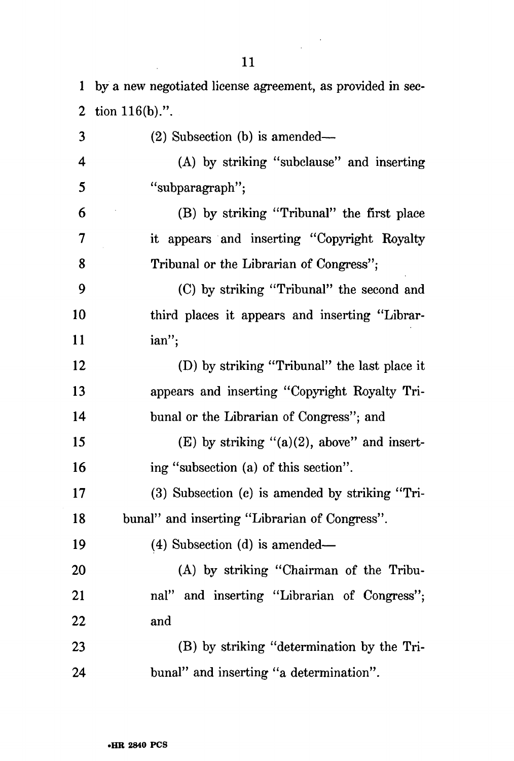$\bar{z}$ 

 $\label{eq:2} \frac{1}{\sqrt{2}}\int_{0}^{\infty}\frac{dx}{\sqrt{2\pi}}\,dx$ 

| $\mathbf 1$    | by a new negotiated license agreement, as provided in sec- |
|----------------|------------------------------------------------------------|
| $\overline{2}$ | tion $116(b)$ .".                                          |
| 3              | (2) Subsection (b) is amended—                             |
| 4              | (A) by striking "subclause" and inserting                  |
| 5              | "subparagraph";                                            |
| 6              | (B) by striking "Tribunal" the first place                 |
| 7              | it appears and inserting "Copyright Royalty                |
| 8              | Tribunal or the Librarian of Congress";                    |
| 9              | (C) by striking "Tribunal" the second and                  |
| 10             | third places it appears and inserting "Librar-             |
| <sup>11</sup>  | ian";                                                      |
| 12             | (D) by striking "Tribunal" the last place it               |
| 13             | appears and inserting "Copyright Royalty Tri-              |
| 14             | bunal or the Librarian of Congress"; and                   |
| 15             | $(E)$ by striking " $(a)(2)$ , above" and insert-          |
| 16             | ing "subsection (a) of this section".                      |
| 17             | $(3)$ Subsection $(c)$ is amended by striking "Tri-        |
| 18             | bunal" and inserting "Librarian of Congress".              |
| 19             | (4) Subsection (d) is amended—                             |
| 20             | (A) by striking "Chairman of the Tribu-                    |
| 21             | nal" and inserting "Librarian of Congress";                |
| 22             | and                                                        |
| 23             | (B) by striking "determination by the Tri-                 |
| 24             | bunal" and inserting "a determination".                    |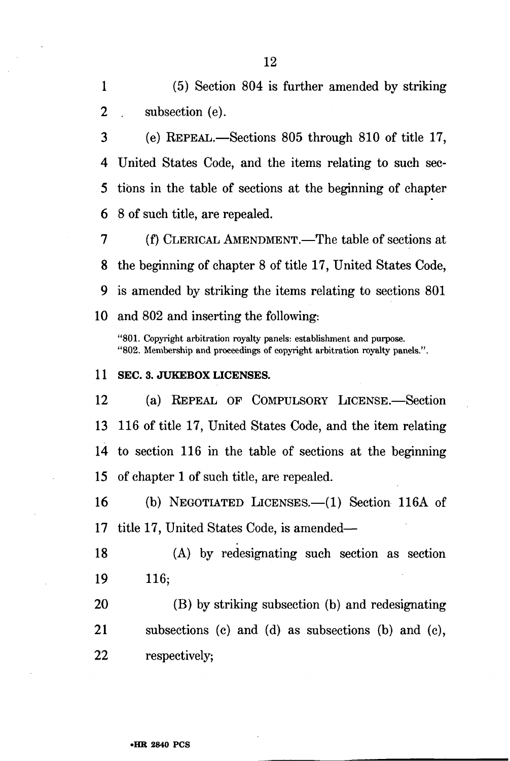1 (5) Section 804 is further amended by striking 2 subsection (e).

3 (e) REPEAL.—Sections 805 through 810 of title 17, 4 United States Code, and the items relating to such sec-5 tibns in the table of sections at the beginning of chapter 6 8 of such title, are repealed.

7 (f) CLERICAL AMENDMENT.—The table of sections at 8 the beginning of chapter 8 of title 17, United States Code, 9 is amended by striking the items relating to sections 801 10 and 802 and inserting the following:

"801. Copyright arbitration royalty panels: establishment and purpose. "802. Membership and proceedings of copyright arbitration royalty panels.".

#### 11 SEC. 3. JUKEBOX LICENSES.

12 (a) REPEAL OF COMPULSORY LICENSE.—Section 13 116 of title 17, United States Code, and the item relating 14 to section 116 in the table of sections at the beginning 15 of chapter 1 of such title, are repealed.

16 (b) NEGOTIATED LICENSES.—(1) Section 116A of 17 title 17, United States Code, is amended—

18 (A) by redesignating such section as section 19 116;

20 (B) by striking subsection (b) and redesignating 21 subsections (c) and (d) as subsections (b) and (c), 22 respectively;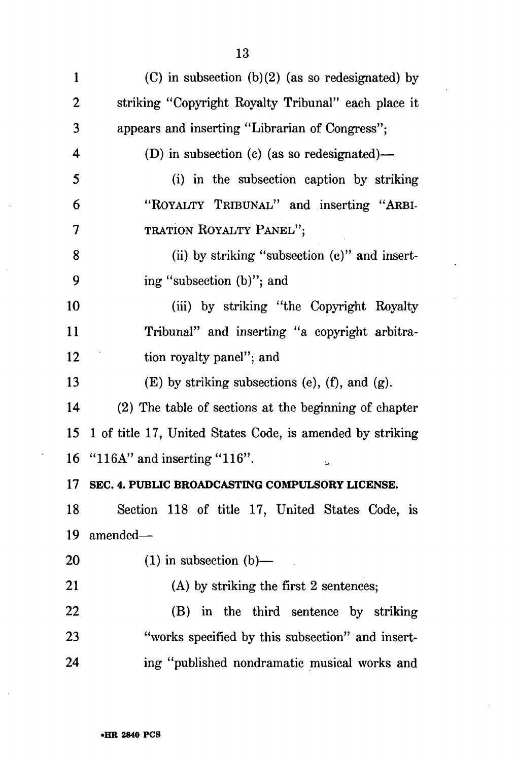1 (C) in subsection  $(b)(2)$  (as so redesignated) by 2 striking "Copyright Royalty Tribunal" each place it 3 appears and inserting "Librarian of Congress"; 4 (D) in subsection (c) (as so redesignated)— 5 (i) in the subsection caption by striking 6 "ROYALTY TRIBUNAL" and inserting "ARBI-7 TRATION ROYALTY PANEL"; 8 (ii) by striking "subsection (c)" and insert-9 ing "subsection (b)"; and 10 (iii) by striking "the Copyright Royalty 11 Tribunal" and inserting "a copyright arbitra-12 tion royalty panel"; and 13 (E) by striking subsections (e),  $(f)$ , and  $(g)$ . 14 (2) The table of sections at the beginning of chapter 15 1 of title 17, United States Code, is amended by striking 16 "116A" and inserting "116". **17 SEC. 4. PUBLIC BROADCASTING COMPULSORY LICENSE.**  18 Section 118 of title 17, United States Code, is 19 amended— 20  $(1)$  in subsection  $(b)$ — 21 (A) by striking the first 2 sentences; 22 (B) in the third sentence by striking 23 "works specified by this subsection" and insert-24 ing "published nondramatic musical works and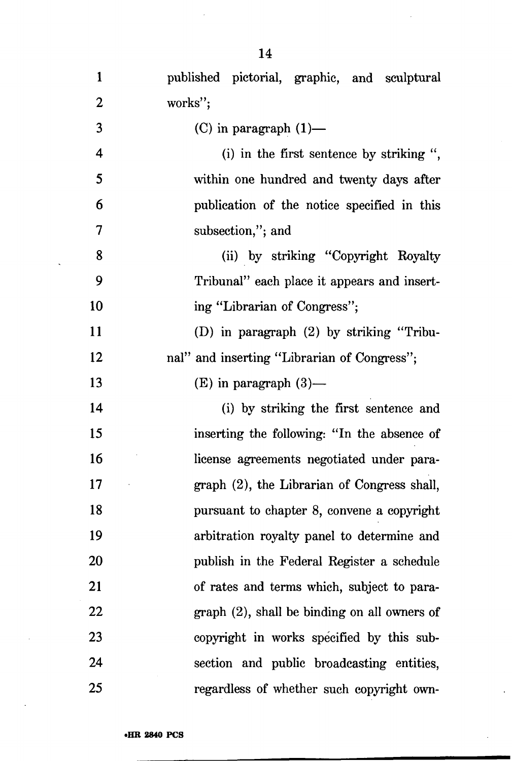| $\mathbf{1}$             | published pictorial, graphic, and sculptural |
|--------------------------|----------------------------------------------|
| $\overline{2}$           | works";                                      |
| 3                        | (C) in paragraph $(1)$ —                     |
| 4                        | (i) in the first sentence by striking ",     |
| 5                        | within one hundred and twenty days after     |
| 6                        | publication of the notice specified in this  |
| $\overline{\mathcal{L}}$ | subsection,"; and                            |
| 8                        | (ii) by striking "Copyright Royalty          |
| 9                        | Tribunal" each place it appears and insert-  |
| 10                       | ing "Librarian of Congress";                 |
| 11                       | (D) in paragraph $(2)$ by striking "Tribu-   |
| 12                       | nal" and inserting "Librarian of Congress";  |
| 13                       | $(E)$ in paragraph $(3)$ —                   |
| 14                       | (i) by striking the first sentence and       |
| 15                       | inserting the following: "In the absence of  |
| 16                       | license agreements negotiated under para-    |
| 17                       | graph (2), the Librarian of Congress shall,  |
| 18                       | pursuant to chapter 8, convene a copyright   |
| 19                       | arbitration royalty panel to determine and   |
| 20                       | publish in the Federal Register a schedule   |
| 21                       | of rates and terms which, subject to para-   |
| 22                       | graph (2), shall be binding on all owners of |
| 23                       | copyright in works specified by this sub-    |
| 24                       | section and public broadcasting entities,    |
| 25                       | regardless of whether such copyright own-    |

 $\hat{\mathcal{A}}$ 

 $\ddot{\phantom{a}}$ 

 $\ddot{\phantom{0}}$ 

 $\hat{\mathcal{L}}$ 

 $\ddot{\phantom{0}}$ 

 $\sim$ 

 $\ddot{\phantom{a}}$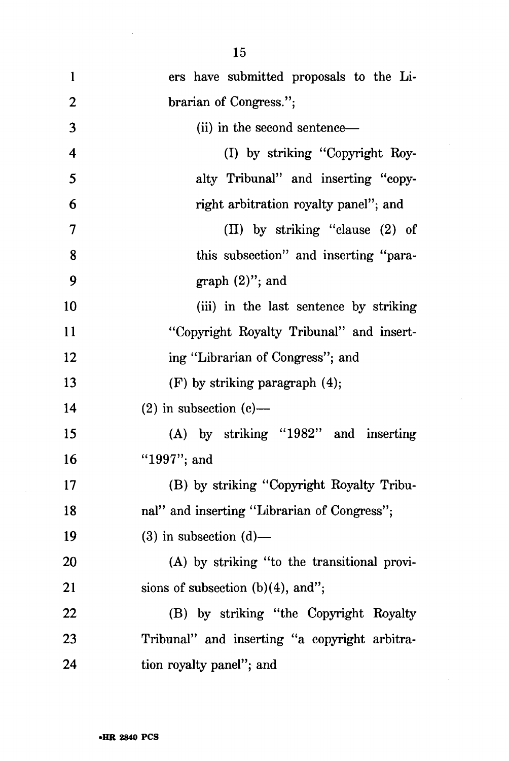| $\mathbf{1}$            | ers have submitted proposals to the Li-       |
|-------------------------|-----------------------------------------------|
| $\overline{2}$          | brarian of Congress.";                        |
| 3                       | (ii) in the second sentence—                  |
| $\overline{\mathbf{4}}$ | (I) by striking "Copyright Roy-               |
| 5                       | alty Tribunal" and inserting "copy-           |
| 6                       | right arbitration royalty panel"; and         |
| 7                       | (II) by striking "clause (2) of               |
| 8                       | this subsection" and inserting "para-         |
| 9                       | $graph (2)$ "; and                            |
| 10                      | (iii) in the last sentence by striking        |
| 11                      | "Copyright Royalty Tribunal" and insert-      |
| 12                      | ing "Librarian of Congress"; and              |
| 13                      | $(F)$ by striking paragraph $(4)$ ;           |
| 14                      | $(2)$ in subsection $(e)$ —                   |
| 15                      | (A) by striking "1982" and inserting          |
| 16                      | "1997"; and                                   |
| 17                      | (B) by striking "Copyright Royalty Tribu-     |
| 18                      | nal" and inserting "Librarian of Congress";   |
| 19                      | $(3)$ in subsection $(d)$ —                   |
| 20                      | (A) by striking "to the transitional provi-   |
| 21                      | sions of subsection $(b)(4)$ , and";          |
| 22                      | (B) by striking "the Copyright Royalty        |
| 23                      | Tribunal" and inserting "a copyright arbitra- |
| 24                      | tion royalty panel"; and                      |

 $\bar{z}$ 

 $\hat{\mathcal{A}}$ 

 $\sim$ 

 $\bar{z}$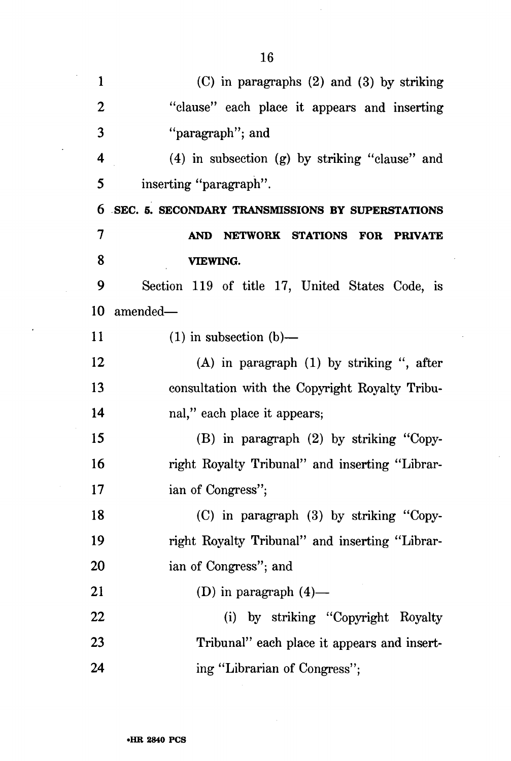| $\mathbf{1}$   | $(C)$ in paragraphs $(2)$ and $(3)$ by striking    |
|----------------|----------------------------------------------------|
| $\overline{2}$ | "clause" each place it appears and inserting       |
| 3              | "paragraph"; and                                   |
| 4              | $(4)$ in subsection $(g)$ by striking "clause" and |
| 5              | inserting "paragraph".                             |
| 6              | SEC. 5. SECONDARY TRANSMISSIONS BY SUPERSTATIONS   |
| 7              | NETWORK STATIONS FOR PRIVATE<br><b>AND</b>         |
| 8              | VIEWING.                                           |
| 9              | Section 119 of title 17, United States Code, is    |
| 10             | amended-                                           |
| 11             | $(1)$ in subsection $(b)$ —                        |
| 12             | $(A)$ in paragraph $(1)$ by striking ", after      |
| 13             | consultation with the Copyright Royalty Tribu-     |
| 14             | nal," each place it appears;                       |
| 15             | $(B)$ in paragraph $(2)$ by striking "Copy-        |
| 16             | right Royalty Tribunal" and inserting "Librar-     |
| 17             | ian of Congress";                                  |
| 18             | (C) in paragraph (3) by striking "Copy-            |
| 19             | right Royalty Tribunal" and inserting "Librar-     |
| <b>20</b>      | ian of Congress"; and                              |
| 21             | (D) in paragraph $(4)$ —                           |
| 22             | (i) by striking "Copyright Royalty                 |
| 23             | Tribunal" each place it appears and insert-        |
| 24             | ing "Librarian of Congress";                       |

 $\overline{a}$ 

 $\bar{\mathcal{A}}$ 

 $\overline{\phantom{a}}$ 

 $\frac{1}{2}$ 

 $\ddot{\phantom{a}}$ 

 $\ddot{\phantom{0}}$ 

 $\mathcal{A}$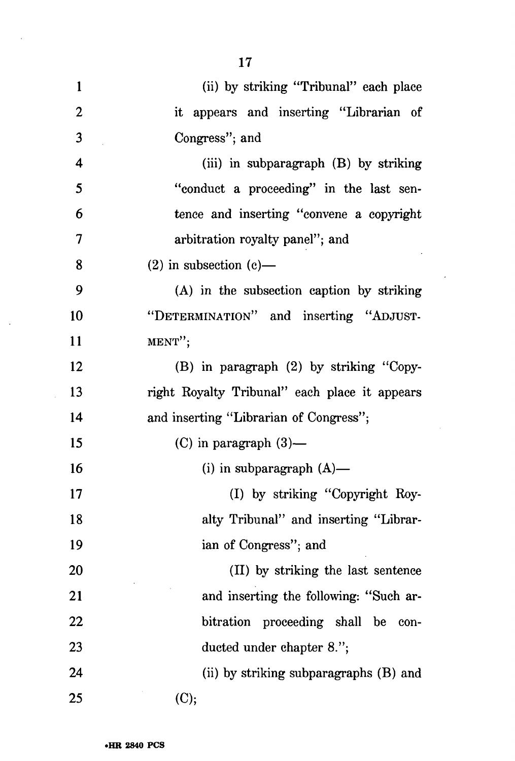| $\mathbf{1}$     | (ii) by striking "Tribunal" each place        |
|------------------|-----------------------------------------------|
| $\boldsymbol{2}$ | it appears and inserting "Librarian of        |
| 3                | Congress"; and                                |
| 4                | (iii) in subparagraph $(B)$ by striking       |
| 5                | "conduct a proceeding" in the last sen-       |
| 6                | tence and inserting "convene a copyright      |
| 7                | arbitration royalty panel"; and               |
| 8                | $(2)$ in subsection $(e)$ —                   |
| 9                | (A) in the subsection caption by striking     |
| 10               | "DETERMINATION" and inserting "ADJUST-        |
| 11               | MENT";                                        |
| 12               | (B) in paragraph (2) by striking "Copy-       |
| 13               | right Royalty Tribunal" each place it appears |
| 14               | and inserting "Librarian of Congress";        |
| 15               | $(C)$ in paragraph $(3)$ —                    |
| 16               | (i) in subparagraph $(A)$ —                   |
| 17               | (I) by striking "Copyright Roy-               |
| 18               | alty Tribunal" and inserting "Librar-         |
| 19               | ian of Congress"; and                         |
| 20               | (II) by striking the last sentence            |
| 21               | and inserting the following: "Such ar-        |
| 22               | bitration proceeding shall be<br>con-         |
| 23               | ducted under chapter 8.";                     |
| 24               | (ii) by striking subparagraphs (B) and        |
| 25               | (C);                                          |

 $\sim$ 

 $\sim 10^{-1}$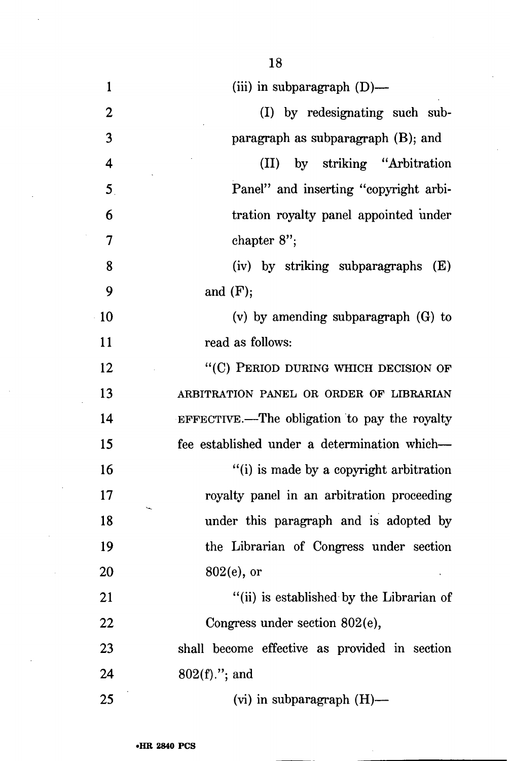| $\mathbf{1}$            | (iii) in subparagraph $(D)$ —                 |
|-------------------------|-----------------------------------------------|
| 2                       | (I) by redesignating such sub-                |
| 3                       | paragraph as subparagraph (B); and            |
| $\overline{\mathbf{4}}$ | by striking "Arbitration"<br>(II)             |
| 5 <sub>1</sub>          | Panel" and inserting "copyright arbi-         |
| 6                       | tration royalty panel appointed under         |
| $\overline{7}$          | chapter $8$ ";                                |
| 8                       | (iv) by striking subparagraphs<br>(E)         |
| 9                       | and $(F);$                                    |
| 10                      | $(v)$ by amending subparagraph $(G)$ to       |
| 11                      | read as follows:                              |
| 12                      | "(C) PERIOD DURING WHICH DECISION OF          |
| 13                      | ARBITRATION PANEL OR ORDER OF LIBRARIAN       |
| 14                      | EFFECTIVE.—The obligation to pay the royalty  |
| 15                      | fee established under a determination which—  |
| 16                      | "(i) is made by a copyright arbitration       |
| 17                      | royalty panel in an arbitration proceeding    |
| 18                      | under this paragraph and is adopted by        |
| 19                      | the Librarian of Congress under section       |
| 20                      | $802(e)$ , or                                 |
| 21                      | "(ii) is established by the Librarian of      |
| 22                      | Congress under section 802(e),                |
| 23                      | shall become effective as provided in section |
| 24                      | $802(f).$ "; and                              |
| 25                      | $(vi)$ in subparagraph $(H)$ —                |

18

 $\ddot{\phantom{1}}$ 

 $\bar{z}$ 

 $\hat{\mathcal{A}}$ 

 $\bar{\beta}$ 

 $\bar{\gamma}$ 

 $\mathcal{A}^{\mathcal{A}}$ 

 $\mathcal{L}$ 

 $\sim$ 

 $\ddot{\phantom{a}}$ 

 $\bar{\mathcal{A}}$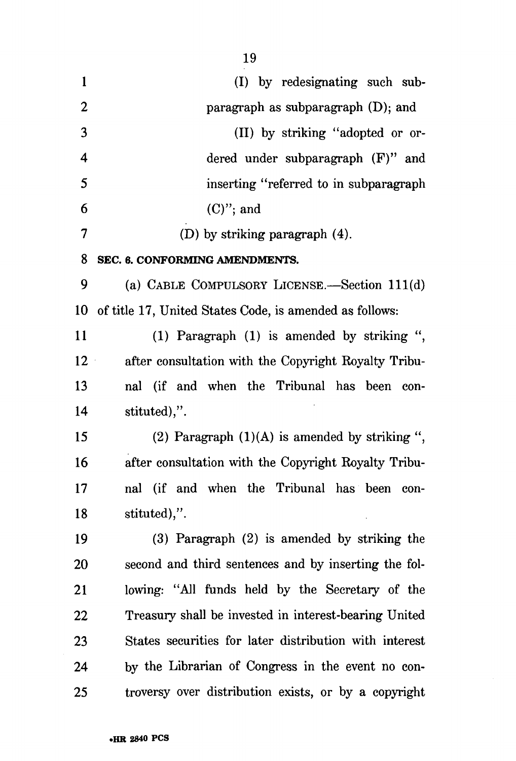| $\mathbf{1}$     | (I) by redesignating such sub-                          |
|------------------|---------------------------------------------------------|
| $\boldsymbol{2}$ | paragraph as subparagraph $(D)$ ; and                   |
| 3                | (II) by striking "adopted or or-                        |
| 4                | dered under subparagraph $(F)$ " and                    |
| 5                | inserting "referred to in subparagraph"                 |
| 6                | $(C)$ "; and                                            |
| 7                | (D) by striking paragraph $(4)$ .                       |
| 8                | SEC. 6. CONFORMING AMENDMENTS.                          |
| 9                | (a) CABLE COMPULSORY LICENSE.—Section 111(d)            |
| 10               | of title 17, United States Code, is amended as follows: |
| 11               | (1) Paragraph (1) is amended by striking ",             |
| $12 -$           | after consultation with the Copyright Royalty Tribu-    |
| 13               | nal (if and when the Tribunal has been con-             |
| 14               | stituted),".                                            |
| 15               | (2) Paragraph $(1)(A)$ is amended by striking ",        |
| 16               | after consultation with the Copyright Royalty Tribu-    |
| 17               | nal (if and when the Tribunal has been<br>con-          |
| 18               | stituted),".                                            |
| 19               | $(3)$ Paragraph $(2)$ is amended by striking the        |
| 20               | second and third sentences and by inserting the fol-    |
| 21               | lowing: "All funds held by the Secretary of the         |
| 22               | Treasury shall be invested in interest-bearing United   |
| 23               | States securities for later distribution with interest  |
| 24               | by the Librarian of Congress in the event no con-       |
| 25               | troversy over distribution exists, or by a copyright    |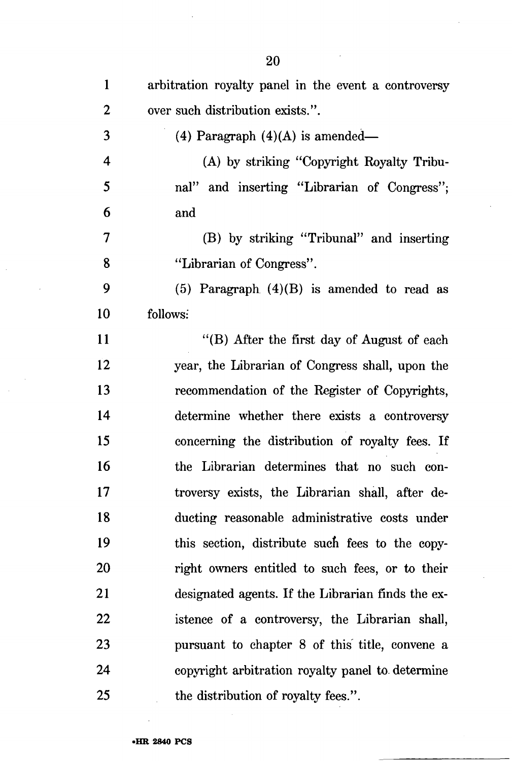| $\mathbf{1}$ | arbitration royalty panel in the event a controversy |
|--------------|------------------------------------------------------|
| 2            | over such distribution exists.".                     |
| 3            | (4) Paragraph $(4)(A)$ is amended—                   |
| 4            | (A) by striking "Copyright Royalty Tribu-            |
| 5            | nal" and inserting "Librarian of Congress";          |
| 6            | and                                                  |
| 7            | (B) by striking "Tribunal" and inserting             |
| 8            | "Librarian of Congress".                             |
| 9            | (5) Paragraph $(4)(B)$ is amended to read as         |
| 10           | follows:                                             |
| 11           | "(B) After the first day of August of each           |
| 12           | year, the Librarian of Congress shall, upon the      |
| 13           | recommendation of the Register of Copyrights,        |
| 14           | determine whether there exists a controversy         |
| 15           | concerning the distribution of royalty fees. If      |
| 16           | the Librarian determines that no such con-           |
| 17           | troversy exists, the Librarian shall, after de-      |
| 18           | ducting reasonable administrative costs under        |
| 19           | this section, distribute such fees to the copy-      |
| 20           | right owners entitled to such fees, or to their      |
| 21           | designated agents. If the Librarian finds the ex-    |
| 22           | istence of a controversy, the Librarian shall,       |
| 23           | pursuant to chapter 8 of this title, convene a       |
| 24           | copyright arbitration royalty panel to determine     |
| 25           | the distribution of royalty fees.".                  |

 $\ddot{\phantom{a}}$ 

 $\bar{z}$ 

 $\bar{\mathcal{A}}$ 

 $\overline{a}$ 

 $\sim 10$  $\bar{\mathcal{A}}$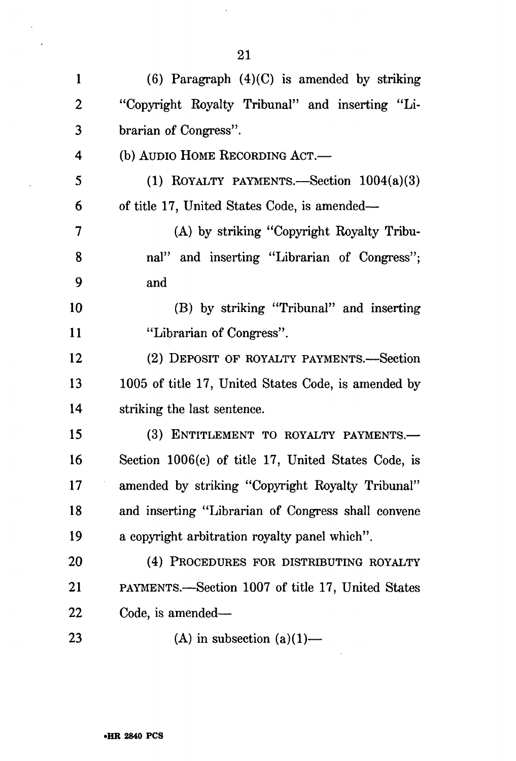| $\mathbf{1}$   | $(6)$ Paragraph $(4)(C)$ is amended by striking     |
|----------------|-----------------------------------------------------|
| 2              | "Copyright Royalty Tribunal" and inserting "Li-     |
| 3              | brarian of Congress".                               |
| 4              | (b) AUDIO HOME RECORDING ACT.—                      |
| 5              | (1) ROYALTY PAYMENTS.—Section $1004(a)(3)$          |
| 6              | of title 17, United States Code, is amended—        |
| $\overline{7}$ | (A) by striking "Copyright Royalty Tribu-           |
| 8              | nal" and inserting "Librarian of Congress";         |
| 9              | and                                                 |
| 10             | (B) by striking "Tribunal" and inserting            |
| 11             | "Librarian of Congress".                            |
| 12             | (2) DEPOSIT OF ROYALTY PAYMENTS.—Section            |
| 13             | 1005 of title 17, United States Code, is amended by |
| 14             | striking the last sentence.                         |
| 15             | (3) ENTITLEMENT TO ROYALTY PAYMENTS.-               |
| 16             | Section 1006(c) of title 17, United States Code, is |
| 17             | amended by striking "Copyright Royalty Tribunal"    |
| 18             | and inserting "Librarian of Congress shall convene  |
| 19             | a copyright arbitration royalty panel which".       |
| 20             | (4) PROCEDURES FOR DISTRIBUTING ROYALTY             |
| 21             | PAYMENTS.—Section 1007 of title 17, United States   |
| 22             | Code, is amended—                                   |
| 23             | (A) in subsection $(a)(1)$ —                        |

 $\hat{\mathcal{L}}$ 

 $\bar{\mathcal{A}}$  $\ddot{\phantom{0}}$ 

 $\ddot{\phantom{a}}$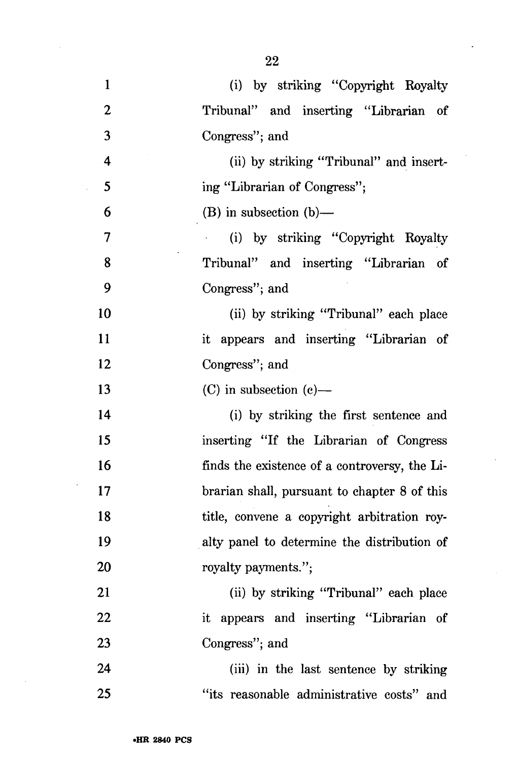1 (i) by striking "Copyright Royalty 2 Tribunal" and inserting "Librarian of 3 Congress"; and 4 (ii) by striking "Tribunal" and insert-5 ing "Librarian of Congress"; 6 (B) in subsection  $(b)$ — 7 (i) by striking "Copyright Royalty 8 Tribunal" and inserting "Librarian of 9 Congress"; and

10 (ii) by striking "Tribunal" each place 11 it appears and inserting "Librarian of 12 Congress"; and

13 (C) in subsection (c)—

14 (i) by striking the first sentence and 15 inserting "If the Librarian of Congress 16 finds the existence of a controversy, the Li-17 brarian shall, pursuant to chapter 8 of this 18 title, convene a copyright arbitration roy-19 alty panel to determine the distribution of 20 royalty payments.";

21 (ii) by striking "Tribunal" each place 22 it appears and inserting "Librarian of 23 Congress"; and

24 (iii) in the last sentence by striking 25 "its reasonable administrative costs" and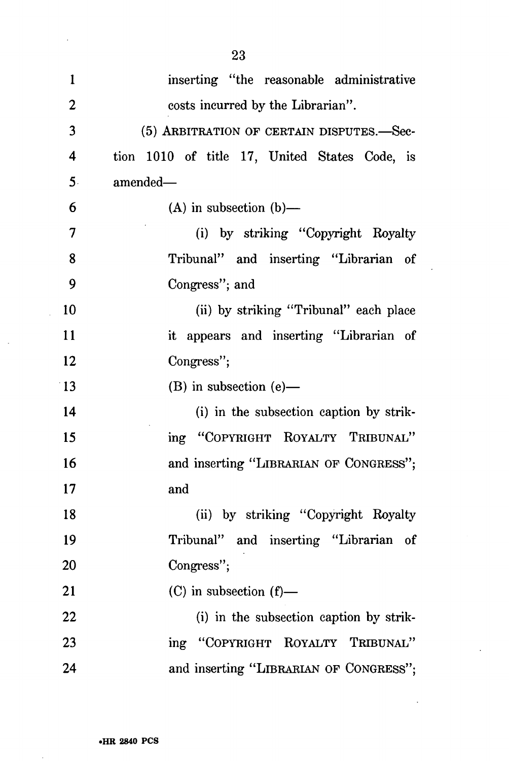| 1  | inserting "the reasonable administrative      |
|----|-----------------------------------------------|
| 2  | costs incurred by the Librarian".             |
| 3  | (5) ARBITRATION OF CERTAIN DISPUTES.-Sec-     |
| 4  | tion 1010 of title 17, United States Code, is |
| 5. | amended-                                      |
| 6  | $(A)$ in subsection $(b)$ —                   |
| 7  | (i) by striking "Copyright Royalty            |
| 8  | Tribunal" and inserting "Librarian of         |
| 9  | Congress"; and                                |
| 10 | (ii) by striking "Tribunal" each place        |
| 11 | it appears and inserting "Librarian of        |
| 12 | Congress";                                    |
| 13 | $(B)$ in subsection $(e)$ —                   |
| 14 | (i) in the subsection caption by strik-       |
| 15 | ing "COPYRIGHT ROYALTY TRIBUNAL"              |
| 16 | and inserting "LIBRARIAN OF CONGRESS";        |
| 17 | and                                           |
| 18 | (ii) by striking "Copyright Royalty           |
| 19 | Tribunal" and inserting "Librarian of         |
| 20 | Congress";                                    |
| 21 | $(C)$ in subsection $(f)$ —                   |
| 22 | (i) in the subsection caption by strik-       |
| 23 | ing "COPYRIGHT ROYALTY TRIBUNAL"              |
| 24 | and inserting "LIBRARIAN OF CONGRESS";        |

 $\ddot{\phantom{a}}$ 

 $\ddot{\phantom{a}}$ 

 $\bar{\beta}$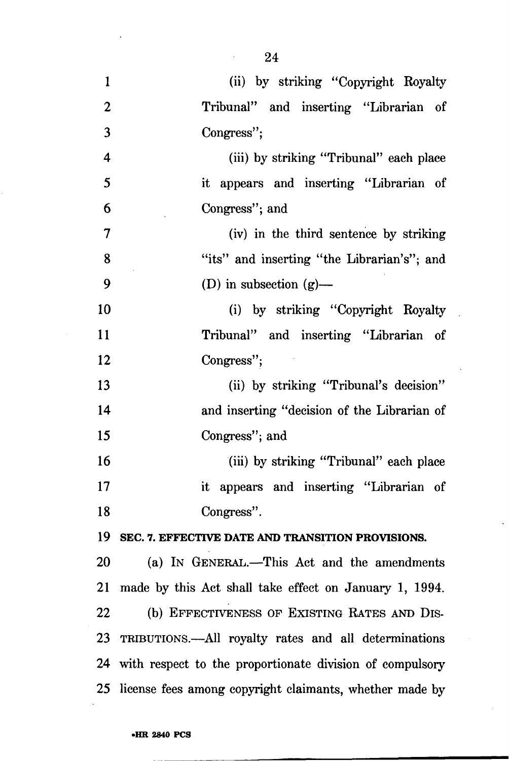- 24
- 1 (ii) by striking "Copyright Royalty 2 Tribunal" and inserting "Librarian of 3 Congress"; 4 (iii) by striking "Tribunal" each place 5 it appears and inserting "Librarian of 6 Congress"; and 7 (iv) in the third sentence by striking 8 "its" and inserting "the Librarian's"; and 9 (D) in subsection  $(g)$ — 10 (i) by striking "Copyright Royalty 11 Tribunal" and inserting "Librarian of 12 Congress"; 13 (ii) by striking "Tribunal's decision" 14 and inserting "decision of the Librarian of 15 Congress"; and 16 (iii) by striking "Tribunal" each place 17 it appears and inserting "Librarian of 18 Congress". **19 SEC. 7. EFFECTIVE DATE AND TRANSITION PROVISIONS.**  20 (a) IN GENERAL.—This Act and the amendments 21 made by this Act shall take effect on January 1, 1994. 22 (b) EFFECTIVENESS OF EXISTING RATES AND DIS-23 TRIBUTIONS.—All royalty rates and all determinations 24 with respect to the proportionate division of compulsory 25 license fees among copyright claimants, whether made by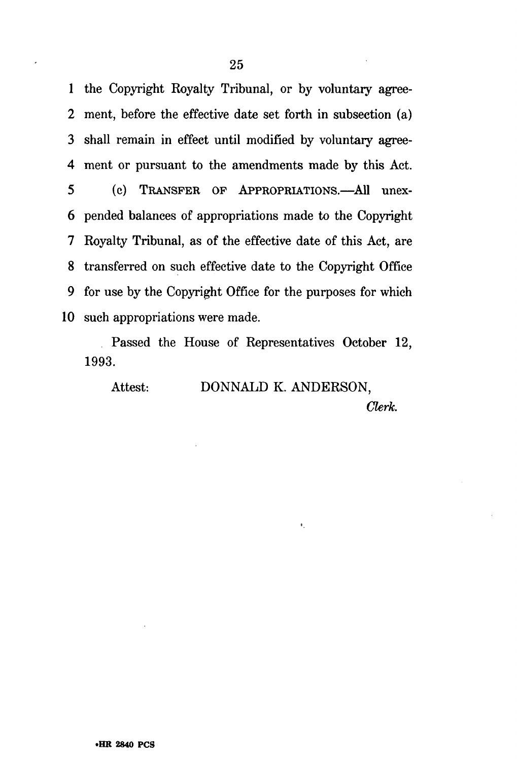1 the Copyright Royalty Tribunal, or by voluntary agree-2 ment, before the effective date set forth in subsection (a) 3 shall remain in effect until modified by voluntary agree-4 ment or pursuant to the amendments made by this Act. 5 (c) TRANSFER OF APPROPRIATIONS.—All unex-6 pended balances of appropriations made to the Copyright 7 Royalty Tribunal, as of the effective date of this Act, are 8 transferred on such effective date to the Copyright Office 9 for use by the Copyright Office for the purposes for which 10 such appropriations were made.

Passed the House of Representatives October 12, 1993.

Attest: DONNALD K. ANDERSON,

 $\bullet$ .

*Clerk.*